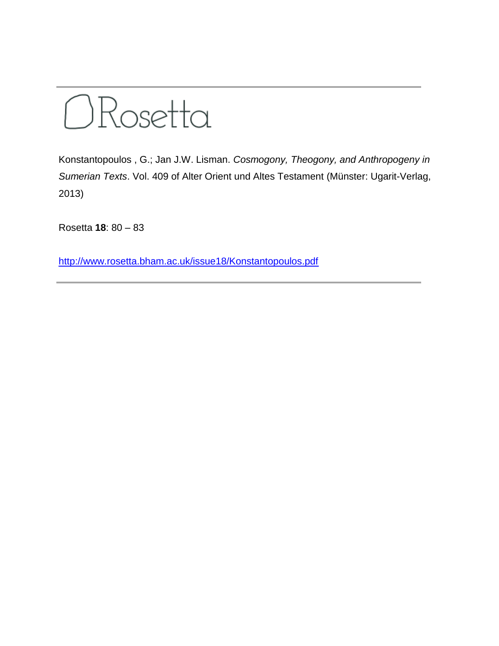

Konstantopoulos , G.; Jan J.W. Lisman. *Cosmogony, Theogony, and Anthropogeny in Sumerian Texts*. Vol. 409 of Alter Orient und Altes Testament (Münster: Ugarit-Verlag, 2013)

Rosetta **18**: 80 – 83

<http://www.rosetta.bham.ac.uk/issue18/Konstantopoulos.pdf>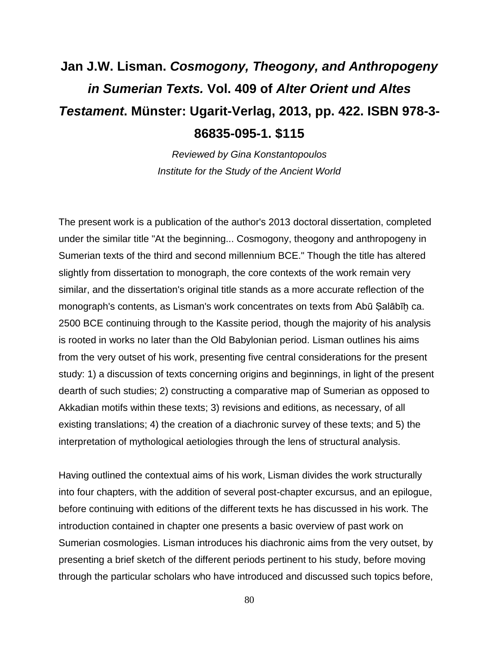## **Jan J.W. Lisman.** *Cosmogony, Theogony, and Anthropogeny in Sumerian Texts.* **Vol. 409 of** *Alter Orient und Altes Testament***. Münster: Ugarit-Verlag, 2013, pp. 422. ISBN 978-3- 86835-095-1. \$115**

*Reviewed by Gina Konstantopoulos Institute for the Study of the Ancient World*

The present work is a publication of the author's 2013 doctoral dissertation, completed under the similar title "At the beginning... Cosmogony, theogony and anthropogeny in Sumerian texts of the third and second millennium BCE." Though the title has altered slightly from dissertation to monograph, the core contexts of the work remain very similar, and the dissertation's original title stands as a more accurate reflection of the monograph's contents, as Lisman's work concentrates on texts from Abū Ṣalābīḫ ca. 2500 BCE continuing through to the Kassite period, though the majority of his analysis is rooted in works no later than the Old Babylonian period. Lisman outlines his aims from the very outset of his work, presenting five central considerations for the present study: 1) a discussion of texts concerning origins and beginnings, in light of the present dearth of such studies; 2) constructing a comparative map of Sumerian as opposed to Akkadian motifs within these texts; 3) revisions and editions, as necessary, of all existing translations; 4) the creation of a diachronic survey of these texts; and 5) the interpretation of mythological aetiologies through the lens of structural analysis.

Having outlined the contextual aims of his work, Lisman divides the work structurally into four chapters, with the addition of several post-chapter excursus, and an epilogue, before continuing with editions of the different texts he has discussed in his work. The introduction contained in chapter one presents a basic overview of past work on Sumerian cosmologies. Lisman introduces his diachronic aims from the very outset, by presenting a brief sketch of the different periods pertinent to his study, before moving through the particular scholars who have introduced and discussed such topics before,

80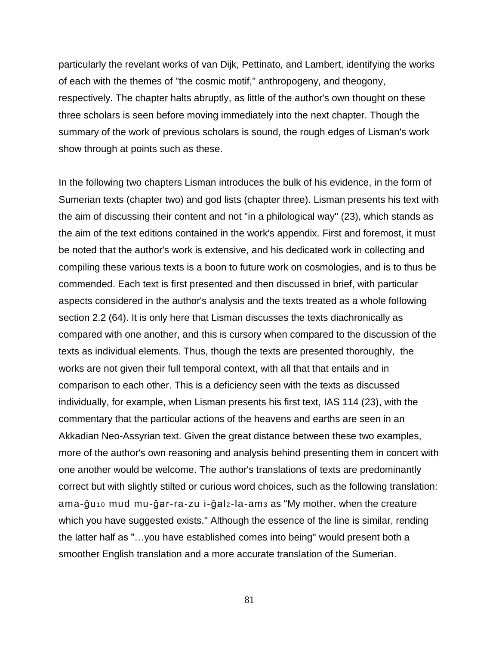particularly the revelant works of van Dijk, Pettinato, and Lambert, identifying the works of each with the themes of "the cosmic motif," anthropogeny, and theogony, respectively. The chapter halts abruptly, as little of the author's own thought on these three scholars is seen before moving immediately into the next chapter. Though the summary of the work of previous scholars is sound, the rough edges of Lisman's work show through at points such as these.

In the following two chapters Lisman introduces the bulk of his evidence, in the form of Sumerian texts (chapter two) and god lists (chapter three). Lisman presents his text with the aim of discussing their content and not "in a philological way" (23), which stands as the aim of the text editions contained in the work's appendix. First and foremost, it must be noted that the author's work is extensive, and his dedicated work in collecting and compiling these various texts is a boon to future work on cosmologies, and is to thus be commended. Each text is first presented and then discussed in brief, with particular aspects considered in the author's analysis and the texts treated as a whole following section 2.2 (64). It is only here that Lisman discusses the texts diachronically as compared with one another, and this is cursory when compared to the discussion of the texts as individual elements. Thus, though the texts are presented thoroughly, the works are not given their full temporal context, with all that that entails and in comparison to each other. This is a deficiency seen with the texts as discussed individually, for example, when Lisman presents his first text, IAS 114 (23), with the commentary that the particular actions of the heavens and earths are seen in an Akkadian Neo-Assyrian text. Given the great distance between these two examples, more of the author's own reasoning and analysis behind presenting them in concert with one another would be welcome. The author's translations of texts are predominantly correct but with slightly stilted or curious word choices, such as the following translation: ama-ĝu<sub>10</sub> mud mu-ĝar-ra-zu i-ĝal<sub>2</sub>-la-am<sub>3</sub> as "My mother, when the creature which you have suggested exists." Although the essence of the line is similar, rending the latter half as "…you have established comes into being" would present both a smoother English translation and a more accurate translation of the Sumerian.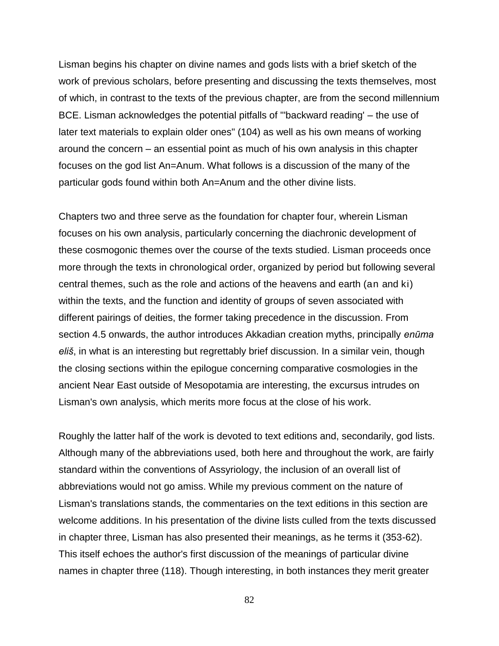Lisman begins his chapter on divine names and gods lists with a brief sketch of the work of previous scholars, before presenting and discussing the texts themselves, most of which, in contrast to the texts of the previous chapter, are from the second millennium BCE. Lisman acknowledges the potential pitfalls of "'backward reading' – the use of later text materials to explain older ones" (104) as well as his own means of working around the concern – an essential point as much of his own analysis in this chapter focuses on the god list An=Anum. What follows is a discussion of the many of the particular gods found within both An=Anum and the other divine lists.

Chapters two and three serve as the foundation for chapter four, wherein Lisman focuses on his own analysis, particularly concerning the diachronic development of these cosmogonic themes over the course of the texts studied. Lisman proceeds once more through the texts in chronological order, organized by period but following several central themes, such as the role and actions of the heavens and earth (an and ki) within the texts, and the function and identity of groups of seven associated with different pairings of deities, the former taking precedence in the discussion. From section 4.5 onwards, the author introduces Akkadian creation myths, principally *enūma eliš*, in what is an interesting but regrettably brief discussion. In a similar vein, though the closing sections within the epilogue concerning comparative cosmologies in the ancient Near East outside of Mesopotamia are interesting, the excursus intrudes on Lisman's own analysis, which merits more focus at the close of his work.

Roughly the latter half of the work is devoted to text editions and, secondarily, god lists. Although many of the abbreviations used, both here and throughout the work, are fairly standard within the conventions of Assyriology, the inclusion of an overall list of abbreviations would not go amiss. While my previous comment on the nature of Lisman's translations stands, the commentaries on the text editions in this section are welcome additions. In his presentation of the divine lists culled from the texts discussed in chapter three, Lisman has also presented their meanings, as he terms it (353-62). This itself echoes the author's first discussion of the meanings of particular divine names in chapter three (118). Though interesting, in both instances they merit greater

82